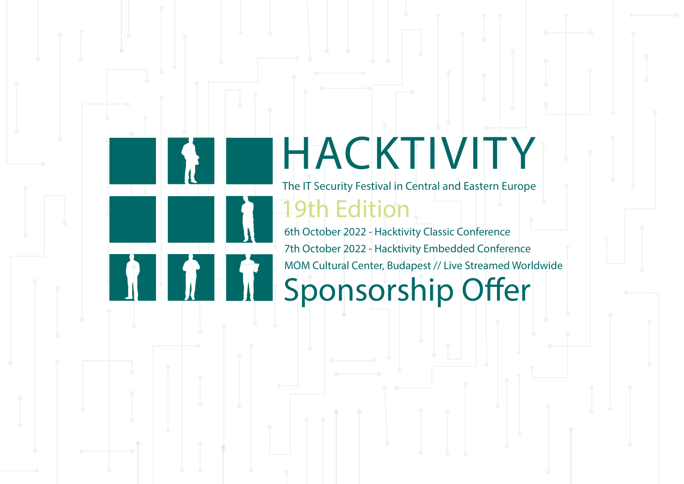# HACKTIVITY

The IT Security Festival in Central and Eastern Europe

19th Edition

6th October 2022 - Hacktivity Classic Conference 7th October 2022 - Hacktivity Embedded Conference MOM Cultural Center, Budapest // Live Streamed Worldwide

# Sponsorship Offer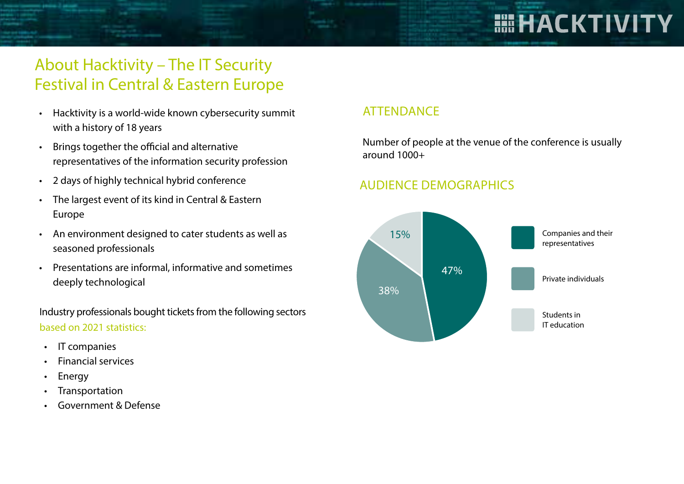# **HEHACKTIVITY**

# About Hacktivity – The IT Security Festival in Central & Eastern Europe

- Hacktivity is a world-wide known cybersecurity summit with a history of 18 years
- Brings together the official and alternative representatives of the information security profession
- 2 days of highly technical hybrid conference
- The largest event of its kind in Central & Eastern Europe
- An environment designed to cater students as well as seasoned professionals
- Presentations are informal, informative and sometimes deeply technological

Industry professionals bought tickets from the following sectors based on 2021 statistics:

- IT companies
- Financial services
- **Energy**
- **Transportation**
- Government & Defense

## **ATTENDANCE**

Number of people at the venue of the conference is usually around 1000+

### AUDIENCE DEMOGRAPHICS

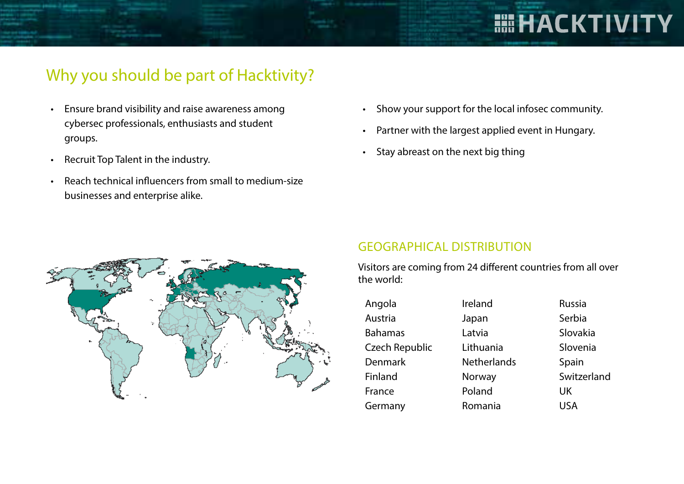# Why you should be part of Hacktivity?

- Ensure brand visibility and raise awareness among cybersec professionals, enthusiasts and student groups.
- Recruit Top Talent in the industry.
- Reach technical influencers from small to medium-size businesses and enterprise alike.
- Show your support for the local infosec community.
- Partner with the largest applied event in Hungary.
- Stay abreast on the next big thing



#### GEOGRAPHICAL DISTRIBUTION

Visitors are coming from 24 different countries from all over the world:

- Angola Austria Bahamas Czech Republic Denmark Finland France **Germany**
- Ireland Japan Latvia Lithuania **Netherlands** Norway Poland Romania

Russia Serbia Slovakia Slovenia Spain Switzerland UK USA

**HIHACKTIVITY**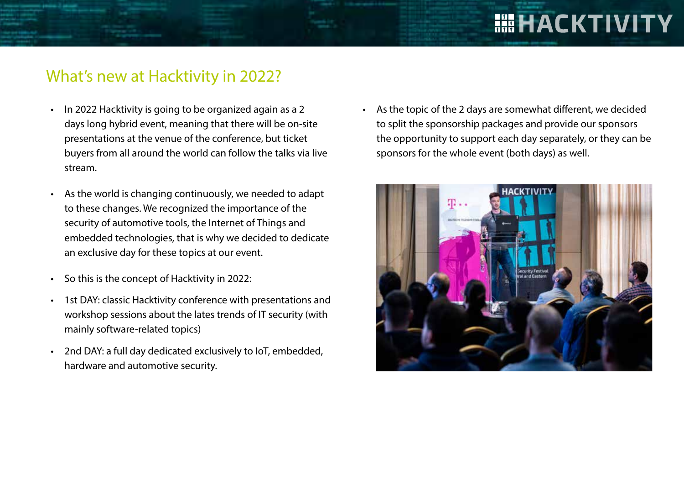# What's new at Hacktivity in 2022?

- In 2022 Hacktivity is going to be organized again as a 2 days long hybrid event, meaning that there will be on-site presentations at the venue of the conference, but ticket buyers from all around the world can follow the talks via live stream.
- As the world is changing continuously, we needed to adapt to these changes. We recognized the importance of the security of automotive tools, the Internet of Things and embedded technologies, that is why we decided to dedicate an exclusive day for these topics at our event.
- So this is the concept of Hacktivity in 2022:
- 1st DAY: classic Hacktivity conference with presentations and workshop sessions about the lates trends of IT security (with mainly software-related topics)
- 2nd DAY: a full day dedicated exclusively to IoT, embedded, hardware and automotive security.

• As the topic of the 2 days are somewhat different, we decided to split the sponsorship packages and provide our sponsors the opportunity to support each day separately, or they can be sponsors for the whole event (both days) as well.

**HEHACKTIVITY** 

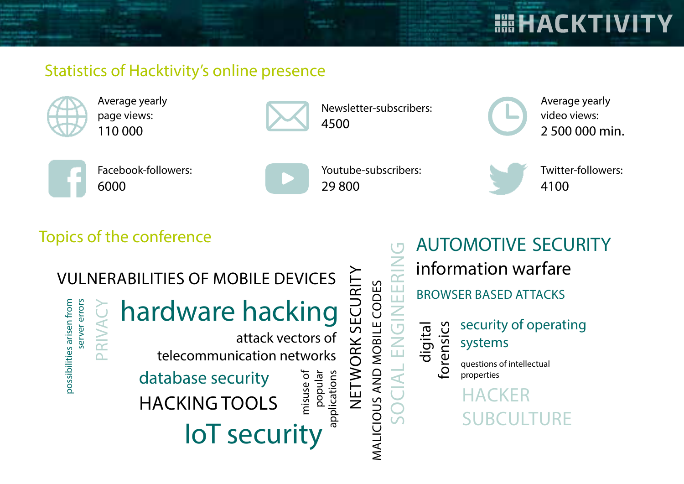# Statistics of Hacktivity's online presence



Average yearly page views: 110 000



Newsletter-subscribers: 4500

Average yearly video views: 2 500 000 min.

**HEHACKTIVITY** 



Facebook-followers: 6000

| Youtub |
|--------|
| 2980   |
|        |

misuse of

misuse of

applications

oe-subscribers:  $\Omega$ 

MALICIOUS AND MOBILE CODES

MALICIOUS AND MOBILE CODES

NETWORK SECURITY

NETWORK SECURITY

Twitter-followers: 4100

# Topics of the conference

# VULNERABILITIES OF MOBILE DEVICES



hardware hacking

attack vectors of telecommunication networks

HACKING TOOLS database security

popular<br>applications IoT security

AUTOMOTIVE SECURITYSOCIAL ENGINEERING information warfare EER BROWSER BASED ATTACKS security of operating digital forensics  $\sum_{i=1}^{n}$ systems questions of intellectual properties **HACKER** SUBCULTURE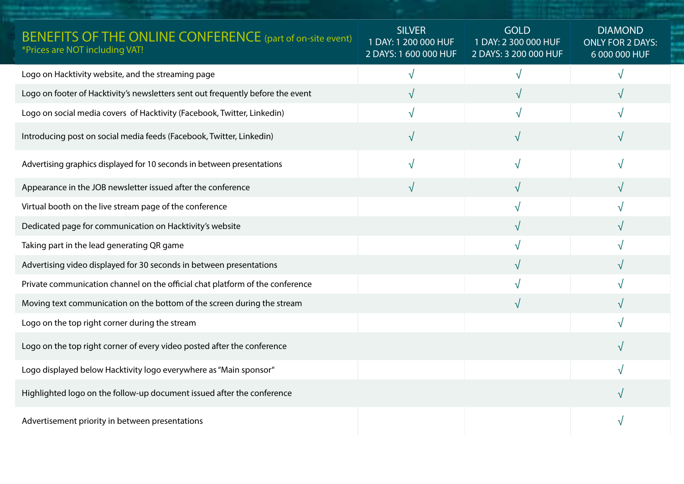| <b>BENEFITS OF THE ONLINE CONFERENCE</b> (part of on-site event)<br>*Prices are NOT including VAT! | <b>SILVER</b><br>1 DAY: 1 200 000 HUF<br>2 DAYS: 1 600 000 HUF | <b>GOLD</b><br>1 DAY: 2 300 000 HUF<br>2 DAYS: 3 200 000 HUF | <b>DIAMOND</b><br><b>ONLY FOR 2 DAYS:</b><br>6 000 000 HUF |
|----------------------------------------------------------------------------------------------------|----------------------------------------------------------------|--------------------------------------------------------------|------------------------------------------------------------|
| Logo on Hacktivity website, and the streaming page                                                 | V                                                              | $\sqrt{ }$                                                   |                                                            |
| Logo on footer of Hacktivity's newsletters sent out frequently before the event                    | $\sqrt{ }$                                                     |                                                              |                                                            |
| Logo on social media covers of Hacktivity (Facebook, Twitter, Linkedin)                            | V                                                              |                                                              |                                                            |
| Introducing post on social media feeds (Facebook, Twitter, Linkedin)                               | √                                                              |                                                              |                                                            |
| Advertising graphics displayed for 10 seconds in between presentations                             | $\sqrt{}$                                                      | $\sqrt{}$                                                    |                                                            |
| Appearance in the JOB newsletter issued after the conference                                       | √                                                              |                                                              |                                                            |
| Virtual booth on the live stream page of the conference                                            |                                                                | $\sqrt{ }$                                                   |                                                            |
| Dedicated page for communication on Hacktivity's website                                           |                                                                |                                                              |                                                            |
| Taking part in the lead generating QR game                                                         |                                                                |                                                              |                                                            |
| Advertising video displayed for 30 seconds in between presentations                                |                                                                |                                                              |                                                            |
| Private communication channel on the official chat platform of the conference                      |                                                                |                                                              |                                                            |
| Moving text communication on the bottom of the screen during the stream                            |                                                                | $\sqrt{}$                                                    |                                                            |
| Logo on the top right corner during the stream                                                     |                                                                |                                                              |                                                            |
| Logo on the top right corner of every video posted after the conference                            |                                                                |                                                              |                                                            |
| Logo displayed below Hacktivity logo everywhere as "Main sponsor"                                  |                                                                |                                                              |                                                            |
| Highlighted logo on the follow-up document issued after the conference                             |                                                                |                                                              |                                                            |
| Advertisement priority in between presentations                                                    |                                                                |                                                              |                                                            |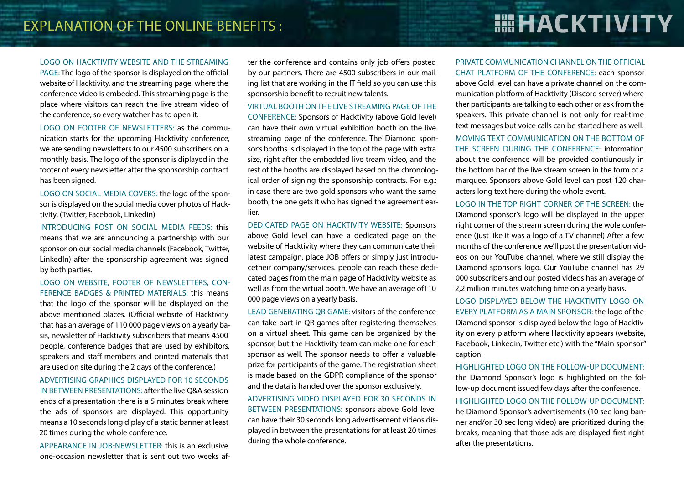## EXPLANATION OF THE ONLINE BENEFITS :

#### LOGO ON HACKTIVITY WEBSITE AND THE STREAMING

PAGE: The logo of the sponsor is displayed on the official website of Hacktivity, and the streaming page, where the conference video is embeded. This streaming page is the place where visitors can reach the live stream video of the conference, so every watcher has to open it.

LOGO ON FOOTER OF NEWSLETTERS: as the communication starts for the upcoming Hacktivity conference, we are sending newsletters to our 4500 subscribers on a monthly basis. The logo of the sponsor is diplayed in the footer of every newsletter after the sponsorship contract has been signed.

LOGO ON SOCIAL MEDIA COVERS: the logo of the sponsor is displayed on the social media cover photos of Hacktivity. (Twitter, Facebook, Linkedin)

INTRODUCING POST ON SOCIAL MEDIA FEEDS: this means that we are announcing a partnership with our sponsor on our social media channels (Facebook, Twitter, LinkedIn) after the sponsorship agreement was signed by both parties.

LOGO ON WEBSITE, FOOTER OF NEWSLETTERS, CON-FERENCE BADGES & PRINTED MATERIALS: this means that the logo of the sponsor will be displayed on the above mentioned places. (Official website of Hacktivity that has an average of 110 000 page views on a yearly basis, newsletter of Hacktivity subscribers that means 4500 people, conference badges that are used by exhibitors, speakers and staff members and printed materials that are used on site during the 2 days of the conference.)

ADVERTISING GRAPHICS DISPLAYED FOR 10 SECONDS IN BETWEEN PRESENTATIONS: after the live Q&A session ends of a presentation there is a 5 minutes break where the ads of sponsors are displayed. This opportunity means a 10 seconds long diplay of a static banner at least 20 times during the whole conference.

APPEARANCE IN JOB-NEWSLETTER: this is an exclusive one-occasion newsletter that is sent out two weeks after the conference and contains only job offers posted by our partners. There are 4500 subscribers in our mailing list that are working in the IT field so you can use this sponsorship benefit to recruit new talents.

VIRTUAL BOOTH ON THE LIVE STREAMING PAGE OF THE CONFERENCE: Sponsors of Hacktivity (above Gold level) can have their own virtual exhibition booth on the live streaming page of the conference. The Diamond sponsor's booths is displayed in the top of the page with extra size, right after the embedded live tream video, and the rest of the booths are displayed based on the chronological order of signing the sponsorship contracts. For e.g.: in case there are two gold sponsors who want the same booth, the one gets it who has signed the agreement earlier.

DEDICATED PAGE ON HACKTIVITY WEBSITE: Sponsors above Gold level can have a dedicated page on the website of Hacktivity where they can communicate their latest campaign, place JOB offers or simply just introducetheir company/services. people can reach these dedicated pages from the main page of Hacktivity website as well as from the virtual booth. We have an average of110 000 page views on a yearly basis.

LEAD GENERATING QR GAME: visitors of the conference can take part in QR games after registering themselves on a virtual sheet. This game can be organized by the sponsor, but the Hacktivity team can make one for each sponsor as well. The sponsor needs to offer a valuable prize for participants of the game. The registration sheet is made based on the GDPR compliance of the sponsor and the data is handed over the sponsor exclusively.

ADVERTISING VIDEO DISPLAYED FOR 30 SECONDS IN BETWEEN PRESENTATIONS: sponsors above Gold level can have their 30 seconds long advertisement videos displayed in between the presentations for at least 20 times during the whole conference.

# **HII HACKTIVITY**

#### PRIVATE COMMUNICATION CHANNEL ON THE OFFICIAL CHAT PLATFORM OF THE CONFERENCE: each sponsor

above Gold level can have a private channel on the communication platform of Hacktivity (Discord server) where ther participants are talking to each other or ask from the speakers. This private channel is not only for real-time text messages but voice calls can be started here as well.

MOVING TEXT COMMUNICATION ON THE BOTTOM OF THE SCREEN DURING THE CONFERENCE: information about the conference will be provided contiunously in the bottom bar of the live stream screen in the form of a marquee. Sponsors above Gold level can post 120 characters long text here during the whole event.

LOGO IN THE TOP RIGHT CORNER OF THE SCREEN: the

Diamond sponsor's logo will be displayed in the upper right corner of the stream screen during the wole conference (just like it was a logo of a TV channel) After a few months of the conference we'll post the presentation videos on our YouTube channel, where we still display the Diamond sponsor's logo. Our YouTube channel has 29 000 subscribers and our posted videos has an average of 2,2 million minutes watching time on a yearly basis.

LOGO DISPLAYED BELOW THE HACKTIVITY LOGO ON EVERY PLATFORM AS A MAIN SPONSOR: the logo of the Diamond sponsor is displayed below the logo of Hacktivity on every platform where Hacktivity appears (website, Facebook, Linkedin, Twitter etc.) with the "Main sponsor" caption.

HIGHLIGHTED LOGO ON THE FOLLOW-UP DOCUMENT: the Diamond Sponsor's logo is highlighted on the follow-up document issued few days after the conference.

HIGHLIGHTED LOGO ON THE FOLLOW-UP DOCUMENT: he Diamond Sponsor's advertisements (10 sec long banner and/or 30 sec long video) are prioritized during the breaks, meaning that those ads are displayed first right after the presentations.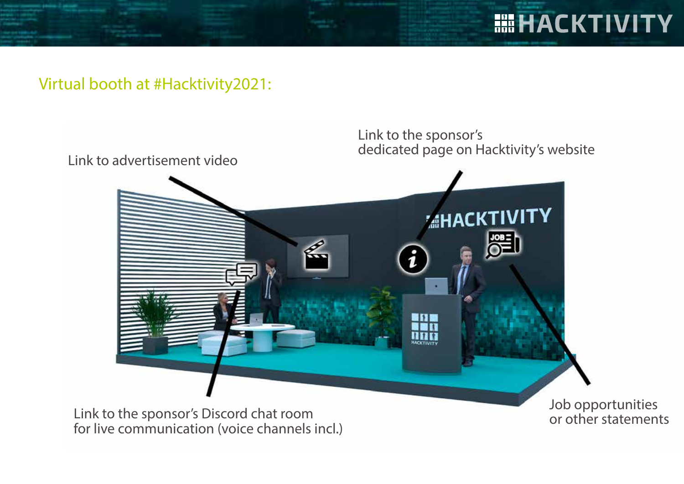

## Virtual booth at #Hacktivity2021:

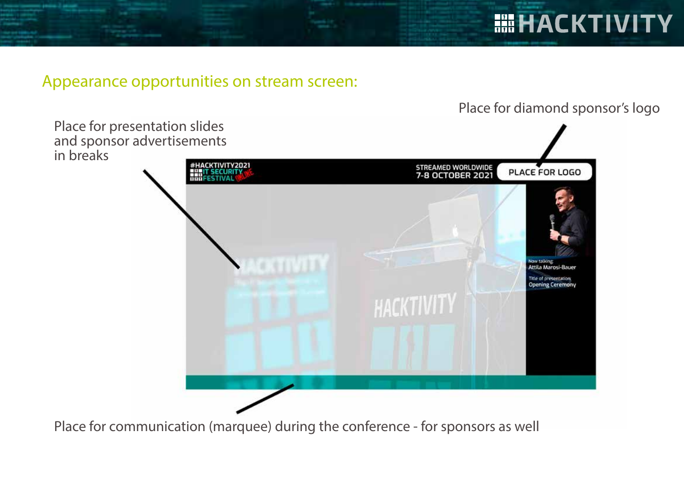## Appearance opportunities on stream screen:

Place for diamond sponsor's logo

**HEHACKTIVITY** 



Place for communication (marquee) during the conference - for sponsors as well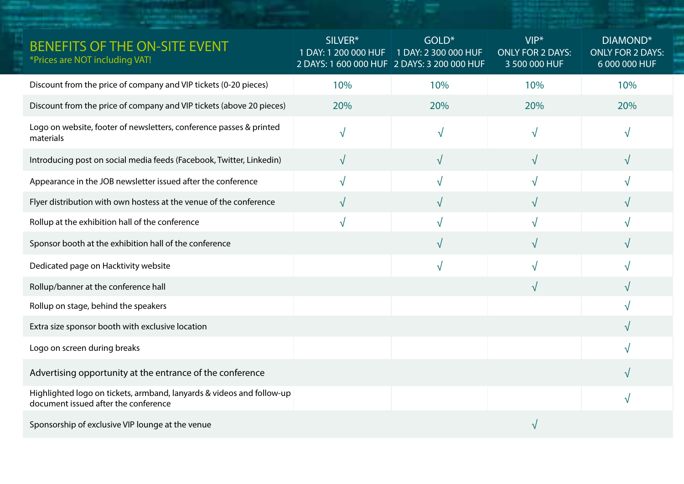| BENEFITS OF THE ON-SITE EVENT<br>*Prices are NOT including VAT!                                               | SILVER*<br>1 DAY: 1 200 000 HUF<br>2 DAYS: 1 600 000 HUF 2 DAYS: 3 200 000 HUF | GOLD*<br>1 DAY: 2 300 000 HUF | $VIP*$<br><b>ONLY FOR 2 DAYS:</b><br>3 500 000 HUF | DIAMOND*<br><b>ONLY FOR 2 DAYS:</b><br>6 000 000 HUF |
|---------------------------------------------------------------------------------------------------------------|--------------------------------------------------------------------------------|-------------------------------|----------------------------------------------------|------------------------------------------------------|
| Discount from the price of company and VIP tickets (0-20 pieces)                                              | 10%                                                                            | 10%                           | 10%                                                | 10%                                                  |
| Discount from the price of company and VIP tickets (above 20 pieces)                                          | 20%                                                                            | 20%                           | 20%                                                | 20%                                                  |
| Logo on website, footer of newsletters, conference passes & printed<br>materials                              | $\sqrt{ }$                                                                     | N                             | N                                                  |                                                      |
| Introducing post on social media feeds (Facebook, Twitter, Linkedin)                                          | $\sqrt{ }$                                                                     | $\sqrt{}$                     | $\sqrt{}$                                          | $\sqrt{}$                                            |
| Appearance in the JOB newsletter issued after the conference                                                  | $\sqrt{ }$                                                                     | V                             | $\mathcal{N}$                                      |                                                      |
| Flyer distribution with own hostess at the venue of the conference                                            | $\sqrt{ }$                                                                     | $\sqrt{}$                     | $\sqrt{}$                                          | √                                                    |
| Rollup at the exhibition hall of the conference                                                               | $\sqrt{ }$                                                                     | N                             |                                                    |                                                      |
| Sponsor booth at the exhibition hall of the conference                                                        |                                                                                | $\sqrt{}$                     |                                                    |                                                      |
| Dedicated page on Hacktivity website                                                                          |                                                                                | $\sqrt{ }$                    |                                                    |                                                      |
| Rollup/banner at the conference hall                                                                          |                                                                                |                               | $\sqrt{}$                                          |                                                      |
| Rollup on stage, behind the speakers                                                                          |                                                                                |                               |                                                    |                                                      |
| Extra size sponsor booth with exclusive location                                                              |                                                                                |                               |                                                    |                                                      |
| Logo on screen during breaks                                                                                  |                                                                                |                               |                                                    |                                                      |
| Advertising opportunity at the entrance of the conference                                                     |                                                                                |                               |                                                    |                                                      |
| Highlighted logo on tickets, armband, lanyards & videos and follow-up<br>document issued after the conference |                                                                                |                               |                                                    |                                                      |
| Sponsorship of exclusive VIP lounge at the venue                                                              |                                                                                |                               |                                                    |                                                      |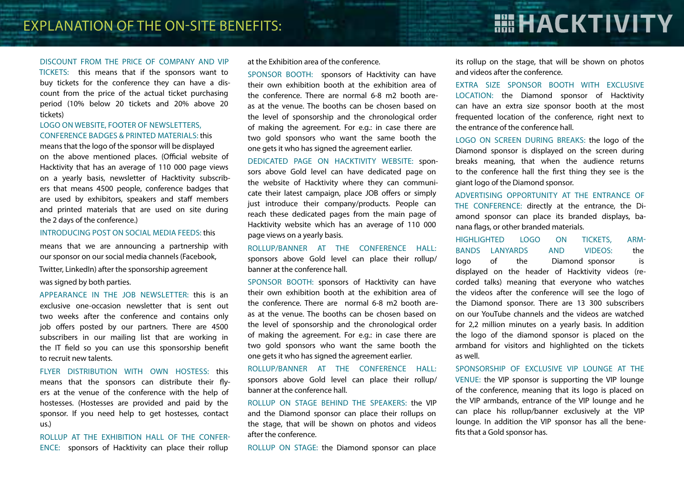# **HIHACKTIVITY**

#### DISCOUNT FROM THE PRICE OF COMPANY AND VIP

TICKETS: this means that if the sponsors want to buy tickets for the conference they can have a discount from the price of the actual ticket purchasing period (10% below 20 tickets and 20% above 20 tickets)

#### LOGO ON WEBSITE, FOOTER OF NEWSLETTERS, CONFERENCE BADGES & PRINTED MATERIALS: this

means that the logo of the sponsor will be displayed on the above mentioned places. (Official website of Hacktivity that has an average of 110 000 page views on a yearly basis, newsletter of Hacktivity subscribers that means 4500 people, conference badges that are used by exhibitors, speakers and staff members and printed materials that are used on site during the 2 days of the conference.)

#### INTRODUCING POST ON SOCIAL MEDIA FEEDS: this

means that we are announcing a partnership with our sponsor on our social media channels (Facebook,

Twitter, LinkedIn) after the sponsorship agreement was signed by both parties.

APPEARANCE IN THE JOB NEWSLETTER: this is an exclusive one-occasion newsletter that is sent out two weeks after the conference and contains only job offers posted by our partners. There are 4500 subscribers in our mailing list that are working in the IT field so you can use this sponsorship benefit to recruit new talents.

FLYER DISTRIBUTION WITH OWN HOSTESS: this means that the sponsors can distribute their flyers at the venue of the conference with the help of hostesses. (Hostesses are provided and paid by the sponsor. If you need help to get hostesses, contact us.)

ROLLUP AT THE EXHIBITION HALL OF THE CONFER-ENCE: sponsors of Hacktivity can place their rollup

at the Exhibition area of the conference.

SPONSOR BOOTH: sponsors of Hacktivity can have their own exhibition booth at the exhibition area of the conference. There are normal 6-8 m2 booth areas at the venue. The booths can be chosen based on the level of sponsorship and the chronological order of making the agreement. For e.g.: in case there are two gold sponsors who want the same booth the one gets it who has signed the agreement earlier.

DEDICATED PAGE ON HACKTIVITY WEBSITE: sponsors above Gold level can have dedicated page on the website of Hacktivity where they can communicate their latest campaign, place JOB offers or simply just introduce their company/products. People can reach these dedicated pages from the main page of Hacktivity website which has an average of 110 000 page views on a yearly basis.

ROLLUP/BANNER AT THE CONFERENCE HALL: sponsors above Gold level can place their rollup/ banner at the conference hall.

SPONSOR BOOTH: sponsors of Hacktivity can have their own exhibition booth at the exhibition area of the conference. There are normal 6-8 m2 booth areas at the venue. The booths can be chosen based on the level of sponsorship and the chronological order of making the agreement. For e.g.: in case there are two gold sponsors who want the same booth the one gets it who has signed the agreement earlier.

ROLLUP/BANNER AT THE CONFERENCE HALL: sponsors above Gold level can place their rollup/ banner at the conference hall.

ROLLUP ON STAGE BEHIND THE SPEAKERS: the VIP and the Diamond sponsor can place their rollups on the stage, that will be shown on photos and videos after the conference.

ROLLUP ON STAGE: the Diamond sponsor can place

its rollup on the stage, that will be shown on photos and videos after the conference.

EXTRA SIZE SPONSOR BOOTH WITH EXCLUSIVE LOCATION: the Diamond sponsor of Hacktivity can have an extra size sponsor booth at the most frequented location of the conference, right next to the entrance of the conference hall.

LOGO ON SCREEN DURING BREAKS: the logo of the Diamond sponsor is displayed on the screen during breaks meaning, that when the audience returns to the conference hall the first thing they see is the giant logo of the Diamond sponsor.

ADVERTISING OPPORTUNITY AT THE ENTRANCE OF THE CONFERENCE: directly at the entrance, the Diamond sponsor can place its branded displays, banana flags, or other branded materials.

HIGHLIGHTED LOGO ON TICKETS, ARM-BANDS LANYARDS AND VIDEOS: the logo of the Diamond sponsor is displayed on the header of Hacktivity videos (recorded talks) meaning that everyone who watches the videos after the conference will see the logo of the Diamond sponsor. There are 13 300 subscribers on our YouTube channels and the videos are watched for 2,2 million minutes on a yearly basis. In addition the logo of the diamond sponsor is placed on the armband for visitors and highlighted on the tickets as well.

SPONSORSHIP OF EXCLUSIVE VIP LOUNGE AT THE VENUE: the VIP sponsor is supporting the VIP lounge of the conference, meaning that its logo is placed on the VIP armbands, entrance of the VIP lounge and he can place his rollup/banner exclusively at the VIP lounge. In addition the VIP sponsor has all the benefits that a Gold sponsor has.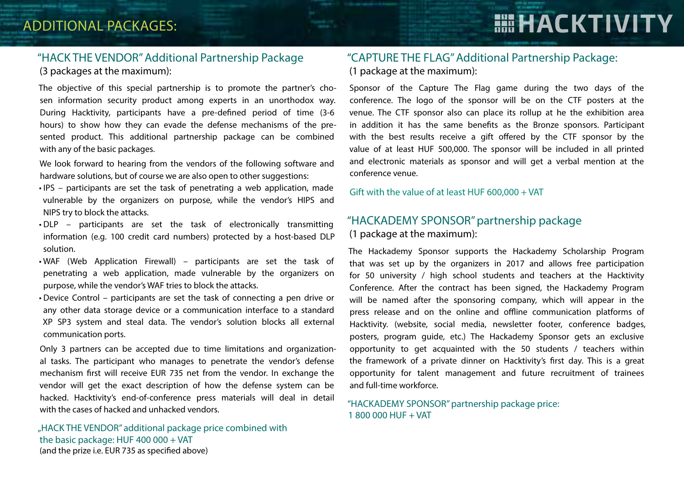# **HEHACKTIVITY**

#### "HACK THE VENDOR" Additional Partnership Package (3 packages at the maximum):

The objective of this special partnership is to promote the partner's chosen information security product among experts in an unorthodox way. During Hacktivity, participants have a pre-defined period of time (3-6 hours) to show how they can evade the defense mechanisms of the presented product. This additional partnership package can be combined with any of the basic packages.

We look forward to hearing from the vendors of the following software and hardware solutions, but of course we are also open to other suggestions:

- IPS participants are set the task of penetrating a web application, made vulnerable by the organizers on purpose, while the vendor's HIPS and NIPS try to block the attacks.
- DLP participants are set the task of electronically transmitting information (e.g. 100 credit card numbers) protected by a host-based DLP solution.
- WAF (Web Application Firewall) participants are set the task of penetrating a web application, made vulnerable by the organizers on purpose, while the vendor's WAF tries to block the attacks.
- Device Control participants are set the task of connecting a pen drive or any other data storage device or a communication interface to a standard XP SP3 system and steal data. The vendor's solution blocks all external communication ports.

Only 3 partners can be accepted due to time limitations and organizational tasks. The participant who manages to penetrate the vendor's defense mechanism first will receive EUR 735 net from the vendor. In exchange the vendor will get the exact description of how the defense system can be hacked. Hacktivity's end-of-conference press materials will deal in detail with the cases of hacked and unhacked vendors.

"HACK THE VENDOR" additional package price combined with the basic package: HUF 400 000 + VAT (and the prize i.e. EUR 735 as specified above)

#### "CAPTURE THE FLAG" Additional Partnership Package: (1 package at the maximum):

Sponsor of the Capture The Flag game during the two days of the conference. The logo of the sponsor will be on the CTF posters at the venue. The CTF sponsor also can place its rollup at he the exhibition area in addition it has the same benefits as the Bronze sponsors. Participant with the best results receive a gift offered by the CTF sponsor by the value of at least HUF 500,000. The sponsor will be included in all printed and electronic materials as sponsor and will get a verbal mention at the conference venue.

Gift with the value of at least HUF 600,000 + VAT

#### "HACKADEMY SPONSOR" partnership package (1 package at the maximum):

The Hackademy Sponsor supports the Hackademy Scholarship Program that was set up by the organizers in 2017 and allows free participation for 50 university / high school students and teachers at the Hacktivity Conference. After the contract has been signed, the Hackademy Program will be named after the sponsoring company, which will appear in the press release and on the online and offline communication platforms of Hacktivity. (website, social media, newsletter footer, conference badges, posters, program guide, etc.) The Hackademy Sponsor gets an exclusive opportunity to get acquainted with the 50 students / teachers within the framework of a private dinner on Hacktivity's first day. This is a great opportunity for talent management and future recruitment of trainees and full-time workforce.

#### "HACKADEMY SPONSOR" partnership package price: 1 800 000 HUF + VAT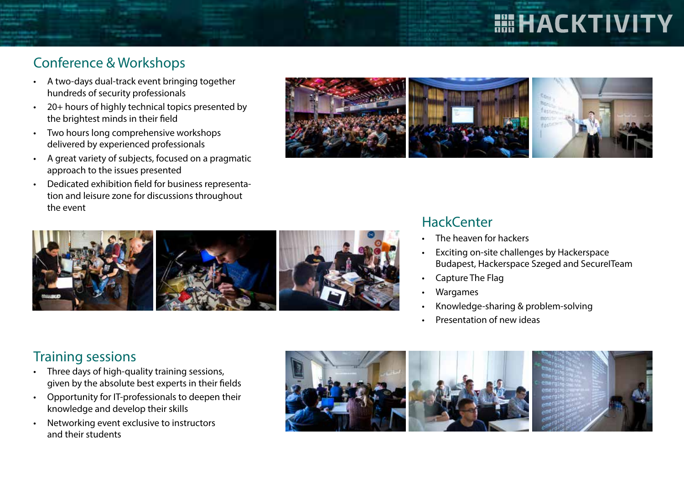# **HILL HACKTIVITY**

## Conference & Workshops

- A two-days dual-track event bringing together hundreds of security professionals
- 20+ hours of highly technical topics presented by the brightest minds in their field
- Two hours long comprehensive workshops delivered by experienced professionals
- A great variety of subjects, focused on a pragmatic approach to the issues presented
- Dedicated exhibition field for business representation and leisure zone for discussions throughout the event





### **HackCenter**

- The heaven for hackers
- Exciting on-site challenges by Hackerspace Budapest, Hackerspace Szeged and SecureITeam
- Capture The Flag
- Wargames
- Knowledge-sharing & problem-solving
- Presentation of new ideas

## Training sessions

- Three days of high-quality training sessions, given by the absolute best experts in their fields
- Opportunity for IT-professionals to deepen their knowledge and develop their skills
- Networking event exclusive to instructors and their students

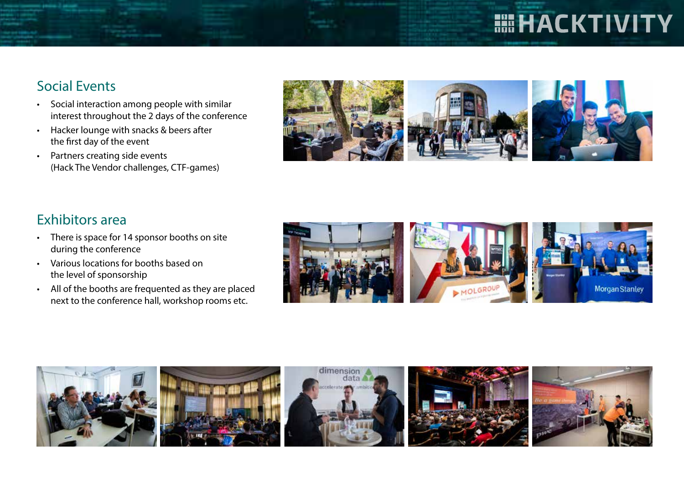# **HILL HACKTIVITY**

## Social Events

- Social interaction among people with similar interest throughout the 2 days of the conference
- Hacker lounge with snacks & beers after the first day of the event
- Partners creating side events (Hack The Vendor challenges, CTF-games)



## Exhibitors area

- There is space for 14 sponsor booths on site during the conference
- Various locations for booths based on the level of sponsorship
- All of the booths are frequented as they are placed next to the conference hall, workshop rooms etc.



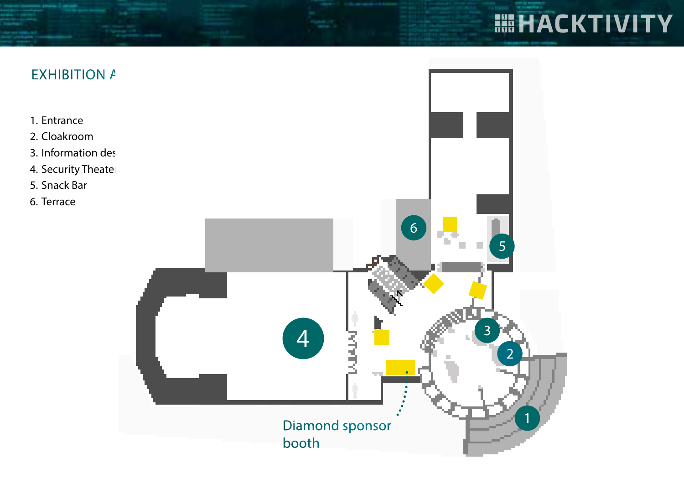# **ELACKTIVITY**

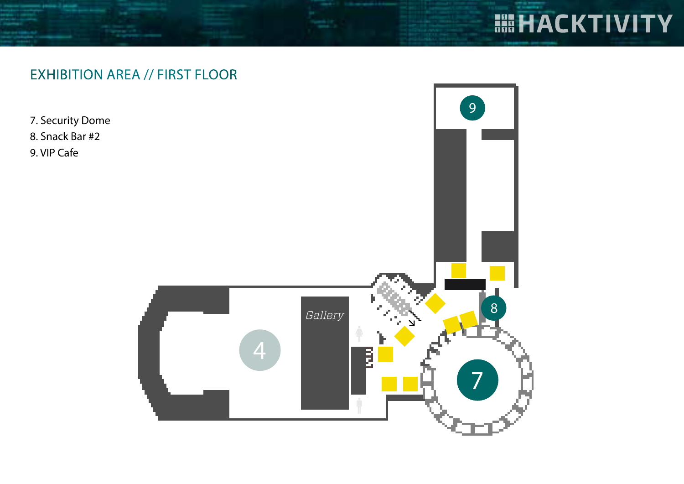# **HIHACKTIVITY**

## EXHIBITION AREA // FIRST FLOOR

7. Security Dome

8. Snack Bar #2

9. VIP Cafe